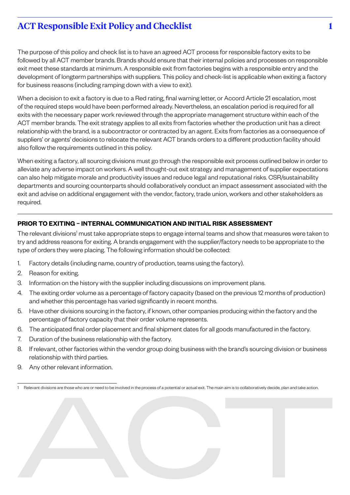# **ACT Responsible Exit Policy and Checklist 1**

The purpose of this policy and check list is to have an agreed ACT process for responsible factory exits to be followed by all ACT member brands. Brands should ensure that their internal policies and processes on responsible exit meet these standards at minimum. A responsible exit from factories begins with a responsible entry and the development of longterm partnerships with suppliers. This policy and check-list is applicable when exiting a factory for business reasons (including ramping down with a view to exit).

When a decision to exit a factory is due to a Red rating, final warning letter, or Accord Article 21 escalation, most of the required steps would have been performed already. Nevertheless, an escalation period is required for all exits with the necessary paper work reviewed through the appropriate management structure within each of the ACT member brands. The exit strategy applies to all exits from factories whether the production unit has a direct relationship with the brand, is a subcontractor or contracted by an agent. Exits from factories as a consequence of suppliers' or agents' decisions to relocate the relevant ACT brands orders to a different production facility should also follow the requirements outlined in this policy.

When exiting a factory, all sourcing divisions must go through the responsible exit process outlined below in order to alleviate any adverse impact on workers. A well thought-out exit strategy and management of supplier expectations can also help mitigate morale and productivity issues and reduce legal and reputational risks. CSR/sustainability departments and sourcing counterparts should collaboratively conduct an impact assessment associated with the exit and advise on additional engagement with the vendor, factory, trade union, workers and other stakeholders as required.

## **PRIOR TO EXITING – INTERNAL COMMUNICATION AND INITIAL RISK ASSESSMENT**

The relevant divisions<sup>1</sup> must take appropriate steps to engage internal teams and show that measures were taken to try and address reasons for exiting. A brands engagement with the supplier/factory needs to be appropriate to the type of orders they were placing. The following information should be collected:

- 1. Factory details (including name, country of production, teams using the factory).
- 2. Reason for exiting.
- 3. Information on the history with the supplier including discussions on improvement plans.
- 4. The exiting order volume as a percentage of factory capacity (based on the previous 12 months of production) and whether this percentage has varied significantly in recent months.
- 5. Have other divisions sourcing in the factory, if known, other companies producing within the factory and the percentage of factory capacity that their order volume represents.
- 6. The anticipated final order placement and final shipment dates for all goods manufactured in the factory.
- 7. Duration of the business relationship with the factory.
- 8. If relevant, other factories within the vendor group doing business with the brand's sourcing division or business relationship with third parties.
- 9. Any other relevant information.

1 Relevant divisions are those who are or need to be involved in the process of a potential or actual exit. The main aim is to collaboratively decide, plan and take action.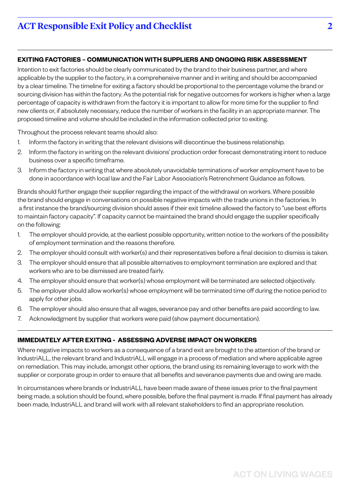## **EXITING FACTORIES – COMMUNICATION WITH SUPPLIERS AND ONGOING RISK ASSESSMENT**

Intention to exit factories should be clearly communicated by the brand to their business partner, and where applicable by the supplier to the factory, in a comprehensive manner and in writing and should be accompanied by a clear timeline. The timeline for exiting a factory should be proportional to the percentage volume the brand or sourcing division has within the factory. As the potential risk for negative outcomes for workers is higher when a large percentage of capacity is withdrawn from the factory it is important to allow for more time for the supplier to find new clients or, if absolutely necessary, reduce the number of workers in the facility in an appropriate manner. The proposed timeline and volume should be included in the information collected prior to exiting.

Throughout the process relevant teams should also:

- 1. Inform the factory in writing that the relevant divisions will discontinue the business relationship.
- 2. Inform the factory in writing on the relevant divisions' production order forecast demonstrating intent to reduce business over a specific timeframe.
- 3. Inform the factory in writing that where absolutely unavoidable terminations of worker employment have to be done in accordance with local law and the Fair Labor Association's Retrenchment Guidance as follows.

Brands should further engage their supplier regarding the impact of the withdrawal on workers. Where possible the brand should engage in conversations on possible negative impacts with the trade unions in the factories. In a first instance the brand/sourcing division should asses if their exit timeline allowed the factory to "use best efforts to maintain factory capacity". If capacity cannot be maintained the brand should engage the supplier specifically on the following:

- 1. The employer should provide, at the earliest possible opportunity, written notice to the workers of the possibility of employment termination and the reasons therefore.
- 2. The employer should consult with worker(s) and their representatives before a final decision to dismiss is taken.
- 3. The employer should ensure that all possible alternatives to employment termination are explored and that workers who are to be dismissed are treated fairly.
- 4. The employer should ensure that worker(s) whose employment will be terminated are selected objectively.
- 5. The employer should allow worker(s) whose employment will be terminated time off during the notice period to apply for other jobs.
- 6. The employer should also ensure that all wages, severance pay and other benefits are paid according to law.
- 7. Acknowledgment by supplier that workers were paid (show payment documentation).

## **IMMEDIATELY AFTER EXITING - ASSESSING ADVERSE IMPACT ON WORKERS**

Where negative impacts to workers as a consequence of a brand exit are brought to the attention of the brand or IndustriALL, the relevant brand and IndustriALL will engage in a process of mediation and where applicable agree on remediation. This may include, amongst other options, the brand using its remaining leverage to work with the supplier or corporate group in order to ensure that all benefits and severance payments due and owing are made.

In circumstances where brands or IndustriALL have been made aware of these issues prior to the final payment being made, a solution should be found, where possible, before the final payment is made. If final payment has already been made, IndustriALL and brand will work with all relevant stakeholders to find an appropriate resolution.